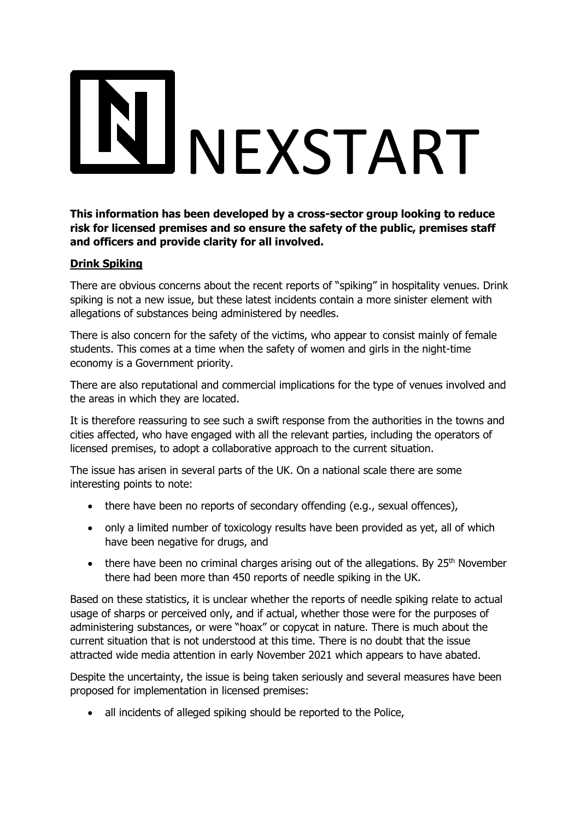## NEXSTART

**This information has been developed by a cross-sector group looking to reduce risk for licensed premises and so ensure the safety of the public, premises staff and officers and provide clarity for all involved.** 

## **Drink Spiking**

There are obvious concerns about the recent reports of "spiking" in hospitality venues. Drink spiking is not a new issue, but these latest incidents contain a more sinister element with allegations of substances being administered by needles.

There is also concern for the safety of the victims, who appear to consist mainly of female students. This comes at a time when the safety of women and girls in the night-time economy is a Government priority.

There are also reputational and commercial implications for the type of venues involved and the areas in which they are located.

It is therefore reassuring to see such a swift response from the authorities in the towns and cities affected, who have engaged with all the relevant parties, including the operators of licensed premises, to adopt a collaborative approach to the current situation.

The issue has arisen in several parts of the UK. On a national scale there are some interesting points to note:

- there have been no reports of secondary offending (e.g., sexual offences),
- only a limited number of toxicology results have been provided as yet, all of which have been negative for drugs, and
- there have been no criminal charges arising out of the allegations. By  $25<sup>th</sup>$  November there had been more than 450 reports of needle spiking in the UK.

Based on these statistics, it is unclear whether the reports of needle spiking relate to actual usage of sharps or perceived only, and if actual, whether those were for the purposes of administering substances, or were "hoax" or copycat in nature. There is much about the current situation that is not understood at this time. There is no doubt that the issue attracted wide media attention in early November 2021 which appears to have abated.

Despite the uncertainty, the issue is being taken seriously and several measures have been proposed for implementation in licensed premises:

• all incidents of alleged spiking should be reported to the Police,